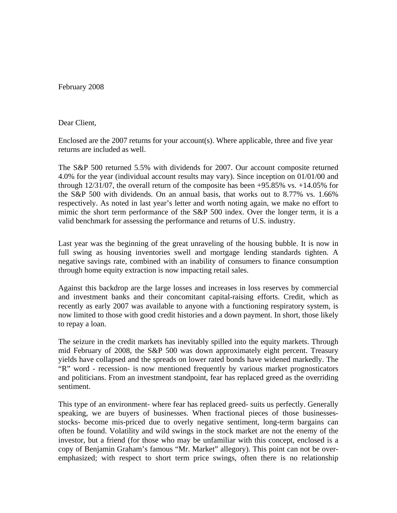February 2008

Dear Client,

Enclosed are the 2007 returns for your account(s). Where applicable, three and five year returns are included as well.

The S&P 500 returned 5.5% with dividends for 2007. Our account composite returned 4.0% for the year (individual account results may vary). Since inception on 01/01/00 and through  $12/31/07$ , the overall return of the composite has been  $+95.85\%$  vs.  $+14.05\%$  for the S&P 500 with dividends. On an annual basis, that works out to 8.77% vs. 1.66% respectively. As noted in last year's letter and worth noting again, we make no effort to mimic the short term performance of the S&P 500 index. Over the longer term, it is a valid benchmark for assessing the performance and returns of U.S. industry.

Last year was the beginning of the great unraveling of the housing bubble. It is now in full swing as housing inventories swell and mortgage lending standards tighten. A negative savings rate, combined with an inability of consumers to finance consumption through home equity extraction is now impacting retail sales.

Against this backdrop are the large losses and increases in loss reserves by commercial and investment banks and their concomitant capital-raising efforts. Credit, which as recently as early 2007 was available to anyone with a functioning respiratory system, is now limited to those with good credit histories and a down payment. In short, those likely to repay a loan.

The seizure in the credit markets has inevitably spilled into the equity markets. Through mid February of 2008, the S&P 500 was down approximately eight percent. Treasury yields have collapsed and the spreads on lower rated bonds have widened markedly. The "R" word - recession- is now mentioned frequently by various market prognosticators and politicians. From an investment standpoint, fear has replaced greed as the overriding sentiment.

This type of an environment- where fear has replaced greed- suits us perfectly. Generally speaking, we are buyers of businesses. When fractional pieces of those businessesstocks- become mis-priced due to overly negative sentiment, long-term bargains can often be found. Volatility and wild swings in the stock market are not the enemy of the investor, but a friend (for those who may be unfamiliar with this concept, enclosed is a copy of Benjamin Graham's famous "Mr. Market" allegory). This point can not be overemphasized; with respect to short term price swings, often there is no relationship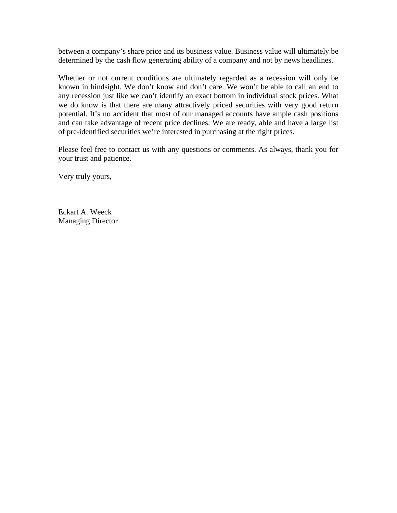between a company's share price and its business value. Business value will ultimately be determined by the cash flow generating ability of a company and not by news headlines.

Whether or not current conditions are ultimately regarded as a recession will only be known in hindsight. We don't know and don't care. We won't be able to call an end to any recession just like we can't identify an exact bottom in individual stock prices. What we do know is that there are many attractively priced securities with very good return potential. It's no accident that most of our managed accounts have ample cash positions and can take advantage of recent price declines. We are ready, able and have a large list of pre-identified securities we're interested in purchasing at the right prices.

Please feel free to contact us with any questions or comments. As always, thank you for your trust and patience.

Very truly yours,

Eckart A. Weeck Managing Director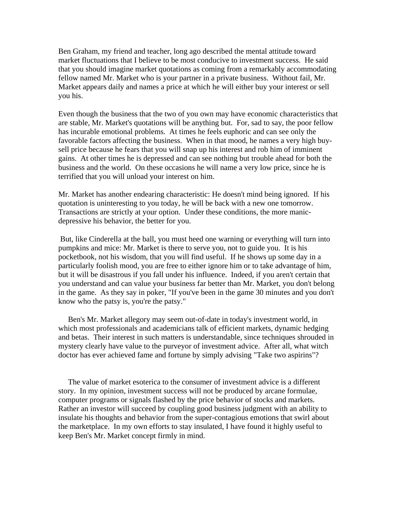Ben Graham, my friend and teacher, long ago described the mental attitude toward market fluctuations that I believe to be most conducive to investment success. He said that you should imagine market quotations as coming from a remarkably accommodating fellow named Mr. Market who is your partner in a private business. Without fail, Mr. Market appears daily and names a price at which he will either buy your interest or sell you his.

Even though the business that the two of you own may have economic characteristics that are stable, Mr. Market's quotations will be anything but. For, sad to say, the poor fellow has incurable emotional problems. At times he feels euphoric and can see only the favorable factors affecting the business. When in that mood, he names a very high buysell price because he fears that you will snap up his interest and rob him of imminent gains. At other times he is depressed and can see nothing but trouble ahead for both the business and the world. On these occasions he will name a very low price, since he is terrified that you will unload your interest on him.

Mr. Market has another endearing characteristic: He doesn't mind being ignored. If his quotation is uninteresting to you today, he will be back with a new one tomorrow. Transactions are strictly at your option. Under these conditions, the more manicdepressive his behavior, the better for you.

 But, like Cinderella at the ball, you must heed one warning or everything will turn into pumpkins and mice: Mr. Market is there to serve you, not to guide you. It is his pocketbook, not his wisdom, that you will find useful. If he shows up some day in a particularly foolish mood, you are free to either ignore him or to take advantage of him, but it will be disastrous if you fall under his influence. Indeed, if you aren't certain that you understand and can value your business far better than Mr. Market, you don't belong in the game. As they say in poker, "If you've been in the game 30 minutes and you don't know who the patsy is, you're the patsy."

 Ben's Mr. Market allegory may seem out-of-date in today's investment world, in which most professionals and academicians talk of efficient markets, dynamic hedging and betas. Their interest in such matters is understandable, since techniques shrouded in mystery clearly have value to the purveyor of investment advice. After all, what witch doctor has ever achieved fame and fortune by simply advising "Take two aspirins"?

 The value of market esoterica to the consumer of investment advice is a different story. In my opinion, investment success will not be produced by arcane formulae, computer programs or signals flashed by the price behavior of stocks and markets. Rather an investor will succeed by coupling good business judgment with an ability to insulate his thoughts and behavior from the super-contagious emotions that swirl about the marketplace. In my own efforts to stay insulated, I have found it highly useful to keep Ben's Mr. Market concept firmly in mind.